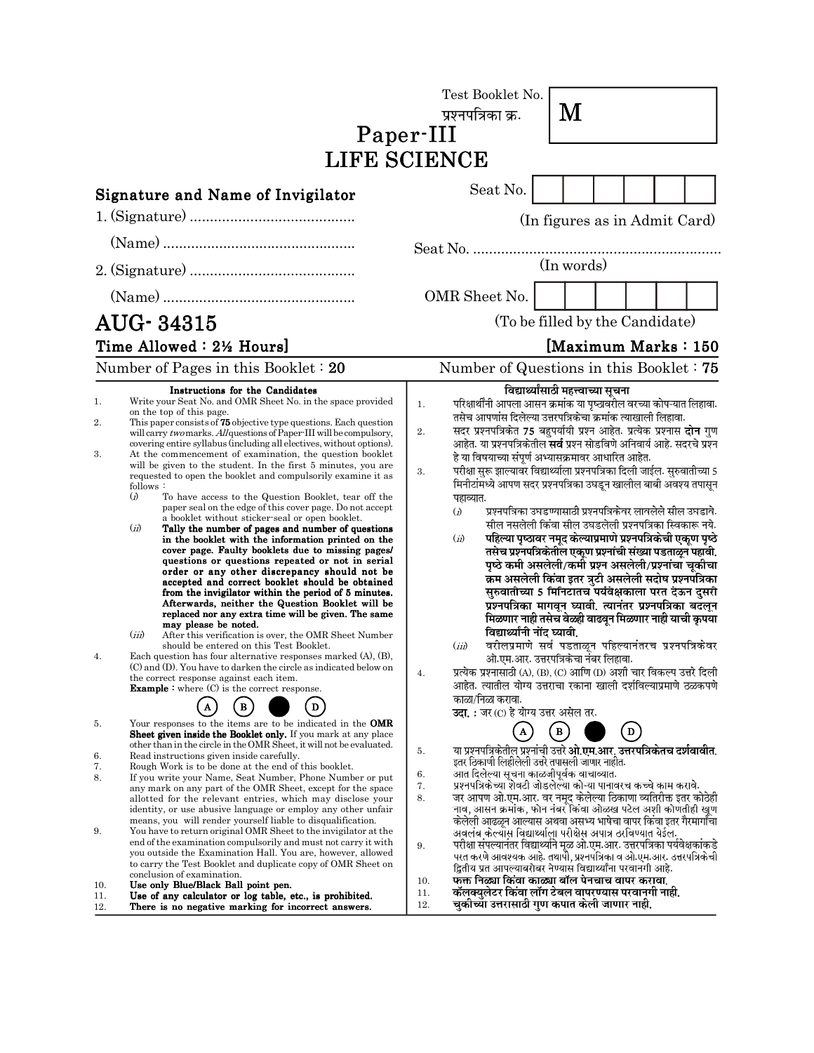|                                                                                |                                                                                                                                                                                                                                                                                                                                                                                                                                                                                                                                                                                                                                                                                                                                                                                                                                                                                                                                                                                                                                                                                                                                                                                                                                                                                                                                                                                                                                                                                                                                                                                                                                                     | Test Booklet No.<br>M<br>प्रश्नपत्रिका क्र.<br>Paper-III<br><b>LIFE SCIENCE</b>                                                                                                                                                                                                                                                                                                                                                                                                                                                                                                                                                                                                                                                                                                                                                                                                                                                                                                                                                                                                                                                                                                                                                                                                                                                                                                                                                                                                                                                     |  |  |  |
|--------------------------------------------------------------------------------|-----------------------------------------------------------------------------------------------------------------------------------------------------------------------------------------------------------------------------------------------------------------------------------------------------------------------------------------------------------------------------------------------------------------------------------------------------------------------------------------------------------------------------------------------------------------------------------------------------------------------------------------------------------------------------------------------------------------------------------------------------------------------------------------------------------------------------------------------------------------------------------------------------------------------------------------------------------------------------------------------------------------------------------------------------------------------------------------------------------------------------------------------------------------------------------------------------------------------------------------------------------------------------------------------------------------------------------------------------------------------------------------------------------------------------------------------------------------------------------------------------------------------------------------------------------------------------------------------------------------------------------------------------|-------------------------------------------------------------------------------------------------------------------------------------------------------------------------------------------------------------------------------------------------------------------------------------------------------------------------------------------------------------------------------------------------------------------------------------------------------------------------------------------------------------------------------------------------------------------------------------------------------------------------------------------------------------------------------------------------------------------------------------------------------------------------------------------------------------------------------------------------------------------------------------------------------------------------------------------------------------------------------------------------------------------------------------------------------------------------------------------------------------------------------------------------------------------------------------------------------------------------------------------------------------------------------------------------------------------------------------------------------------------------------------------------------------------------------------------------------------------------------------------------------------------------------------|--|--|--|
|                                                                                | <b>Signature and Name of Invigilator</b>                                                                                                                                                                                                                                                                                                                                                                                                                                                                                                                                                                                                                                                                                                                                                                                                                                                                                                                                                                                                                                                                                                                                                                                                                                                                                                                                                                                                                                                                                                                                                                                                            | Seat No.<br>(In figures as in Admit Card)                                                                                                                                                                                                                                                                                                                                                                                                                                                                                                                                                                                                                                                                                                                                                                                                                                                                                                                                                                                                                                                                                                                                                                                                                                                                                                                                                                                                                                                                                           |  |  |  |
|                                                                                |                                                                                                                                                                                                                                                                                                                                                                                                                                                                                                                                                                                                                                                                                                                                                                                                                                                                                                                                                                                                                                                                                                                                                                                                                                                                                                                                                                                                                                                                                                                                                                                                                                                     | (In words)                                                                                                                                                                                                                                                                                                                                                                                                                                                                                                                                                                                                                                                                                                                                                                                                                                                                                                                                                                                                                                                                                                                                                                                                                                                                                                                                                                                                                                                                                                                          |  |  |  |
| AUG-34315<br>Time Allowed: 2½ Hours]<br>Number of Pages in this Booklet $: 20$ |                                                                                                                                                                                                                                                                                                                                                                                                                                                                                                                                                                                                                                                                                                                                                                                                                                                                                                                                                                                                                                                                                                                                                                                                                                                                                                                                                                                                                                                                                                                                                                                                                                                     | OMR Sheet No.<br>(To be filled by the Candidate)<br>[Maximum Marks: 150<br>Number of Questions in this Booklet $: 75$                                                                                                                                                                                                                                                                                                                                                                                                                                                                                                                                                                                                                                                                                                                                                                                                                                                                                                                                                                                                                                                                                                                                                                                                                                                                                                                                                                                                               |  |  |  |
| 1.<br>2.<br>3.<br>4.                                                           | Instructions for the Candidates<br>Write your Seat No. and OMR Sheet No. in the space provided<br>on the top of this page.<br>This paper consists of 75 objective type questions. Each question<br>will carry <i>two</i> marks. All questions of Paper-III will be compulsory,<br>covering entire syllabus (including all electives, without options).<br>At the commencement of examination, the question booklet<br>will be given to the student. In the first 5 minutes, you are<br>requested to open the booklet and compulsorily examine it as<br>follows:<br>$\Omega$<br>To have access to the Question Booklet, tear off the<br>paper seal on the edge of this cover page. Do not accept<br>a booklet without sticker-seal or open booklet.<br>(ii)<br>Tally the number of pages and number of questions<br>in the booklet with the information printed on the<br>cover page. Faulty booklets due to missing pages/<br>questions or questions repeated or not in serial<br>order or any other discrepancy should not be<br>accepted and correct booklet should be obtained<br>from the invigilator within the period of 5 minutes.<br>Afterwards, neither the Question Booklet will be<br>replaced nor any extra time will be given. The same<br>may please be noted.<br>(iii)<br>After this verification is over, the OMR Sheet Number<br>should be entered on this Test Booklet.<br>Each question has four alternative responses marked (A), (B),<br>(C) and (D). You have to darken the circle as indicated below on<br>the correct response against each item.<br><b>Example</b> : where $(C)$ is the correct response.<br>$\bf{B}$<br>D | विद्यार्थ्यांसाठी महत्त्वाच्या सूचना<br>परिक्षार्थींनी आपला आसन क्रमांक या पृष्ठावरील वरच्या कोपऱ्यात लिहावा.<br>1.<br>तसेच आपणांस दिलेल्या उत्तरपत्रिकेचा क्रमांक त्याखाली लिहावा.<br>सदर प्रश्नपत्रिकेत 75 बहुपर्यायी प्रश्न आहेत. प्रत्येक प्रश्नास <b>दोन</b> गुण<br>2.<br>आहेत. या प्रश्नपत्रिकेतील <b>सर्व</b> प्रश्न सोडविणे अनिवार्य आहे. सदरचे प्रश्न<br>हे या विषयाच्या संपूर्ण अभ्यासक्रमावर आधारित आहेत.<br>परीक्षा सुरू झाल्यावर विद्यार्थ्याला प्रश्नपत्रिका दिली जाईल. सुरुवातीच्या 5<br>3.<br>मिनीटांमध्ये आपण सदर प्रश्नपत्रिका उघडून खालील बाबी अवश्य तपासून<br>पहाव्यात.<br>प्रश्नपत्रिका उघडण्यासाठी प्रश्नपत्रिकेवर लावलेले सील उघडावे.<br>$\ddot{a}$<br>सील नसलेली किंवा सील उघडलेली प्रश्नपत्रिका स्विकारू नये.<br>पहिल्या पृष्ठावर नमूद केल्याप्रमाणे प्रश्नपत्रिकेची एकूण पृष्ठे<br>(ii)<br>तसेच प्रश्नपत्रिकेतील एकूण प्रश्नांची संख्या पडताळून पहावी.<br>पृष्ठे कमी असलेली/कमी प्रश्न असलेली/प्रश्नांचा चूकीचा<br>क्रम असलेली किंवा इतर त्रुटी असलेली सदोष प्रश्नपत्रिका<br>सुरुवातीच्या 5 मिनिटातच पर्यवेक्षकाला परत देऊन दुसरी<br>प्रश्नपत्रिका मागवून घ्यावी. त्यानंतर प्रश्नपत्रिका बदलून<br>मिळणार नाही तसेच वेळही वाढवून मिळणार नाही याची कृपया<br>विद्यार्थ्यांनी नोंद घ्यावी.<br>वरीलप्रमाणे सर्व पडताळून पहिल्यानंतरच प्रश्नपत्रिकेवर<br>(iii)<br>ओ एम आर. उत्तरपत्रिकेचा नंबर लिहावा.<br>प्रत्येक प्रश्नासाठी (A), (B), (C) आणि (D) अशी चार विकल्प उत्तरे दिली<br>आहेत. त्यातील योग्य उत्तराचा रकाना खाली दर्शविल्याप्रमाणे ठळकपणे<br>काळा/निळा करावा.<br>उदा.: जर (C) हे योग्य उत्तर असेल तर. |  |  |  |
| 5.<br>6.<br>7.<br>8.<br>9.<br>10.<br>11.<br>12.                                | Your responses to the items are to be indicated in the OMR<br><b>Sheet given inside the Booklet only.</b> If you mark at any place<br>other than in the circle in the OMR Sheet, it will not be evaluated.<br>Read instructions given inside carefully.<br>Rough Work is to be done at the end of this booklet.<br>If you write your Name, Seat Number, Phone Number or put<br>any mark on any part of the OMR Sheet, except for the space<br>allotted for the relevant entries, which may disclose your<br>identity, or use abusive language or employ any other unfair<br>means, you will render yourself liable to disqualification.<br>You have to return original OMR Sheet to the invigilator at the<br>end of the examination compulsorily and must not carry it with<br>you outside the Examination Hall. You are, however, allowed<br>to carry the Test Booklet and duplicate copy of OMR Sheet on<br>conclusion of examination.<br>Use only Blue/Black Ball point pen.<br>Use of any calculator or log table, etc., is prohibited.<br>There is no negative marking for incorrect answers.                                                                                                                                                                                                                                                                                                                                                                                                                                                                                                                                                 | $\mathbf{B}$<br>$\overline{a}$<br>या प्रश्नपत्रिकेतील प्रश्नांची उत्तरे <b>ओ.एम.आर. उत्तरपत्रिकेतच दर्शवावीत.</b><br>5.<br>इतर ठिकाणी लिहीलेली उत्तरे तपासली जाणार नाहीत.<br>आत दिलेल्या सूचना काळजीपूर्वक वाचाव्यात.<br>6.<br>प्रश्नपत्रिकेच्या शेवटी जोडलेल्या कोऱ्या पानावरच कच्चे काम करावे.<br>7.<br>जर आपण ओ.एम.आर. वर नमूद केलेल्या ठिकाणा व्यतिरीक्त इतर कोठेही<br>8.<br>नाव, आसन क्रमांक, फोन नंबर किंवा ओळख पटेल अशी कोणतीही खूण<br>केलेली आढळून आल्यास अथवा असभ्य भाषेचा वापर किंवा इतर गैरमार्गांचा<br>अवलंब केल्यास विद्यार्थ्याला परीक्षेस अपात्र ठरविण्यात येईल.<br>परीक्षा संपल्यानंतर विद्यार्थ्याने मूळ ओ.एम.आर. उत्तरपत्रिका पर्यवेक्षकांकडे<br>9.<br>परत करणे आवश्यक आहे. तथापौ, प्रश्नपत्रिका व ओ.एम.आर. उत्तरपत्रिकेची<br>द्वितीय प्रत आपल्याबरोबर नेण्यास विद्यार्थ्यांना परवानगी आहे.<br>फक्त निळ्या किंवा काळ्या बॉल पेनचाच वापर करावा.<br>10.<br>कॅलक्युलेटर किंवा लॉग टेबल वापरण्यास परवानगी नाही.<br>11.<br>चुकीच्या उत्तरासाठी गुण कपात केली जाणार नाही.<br>12.                                                                                                                                                                                                                                                                                                                                                                                                                                                                                                                                        |  |  |  |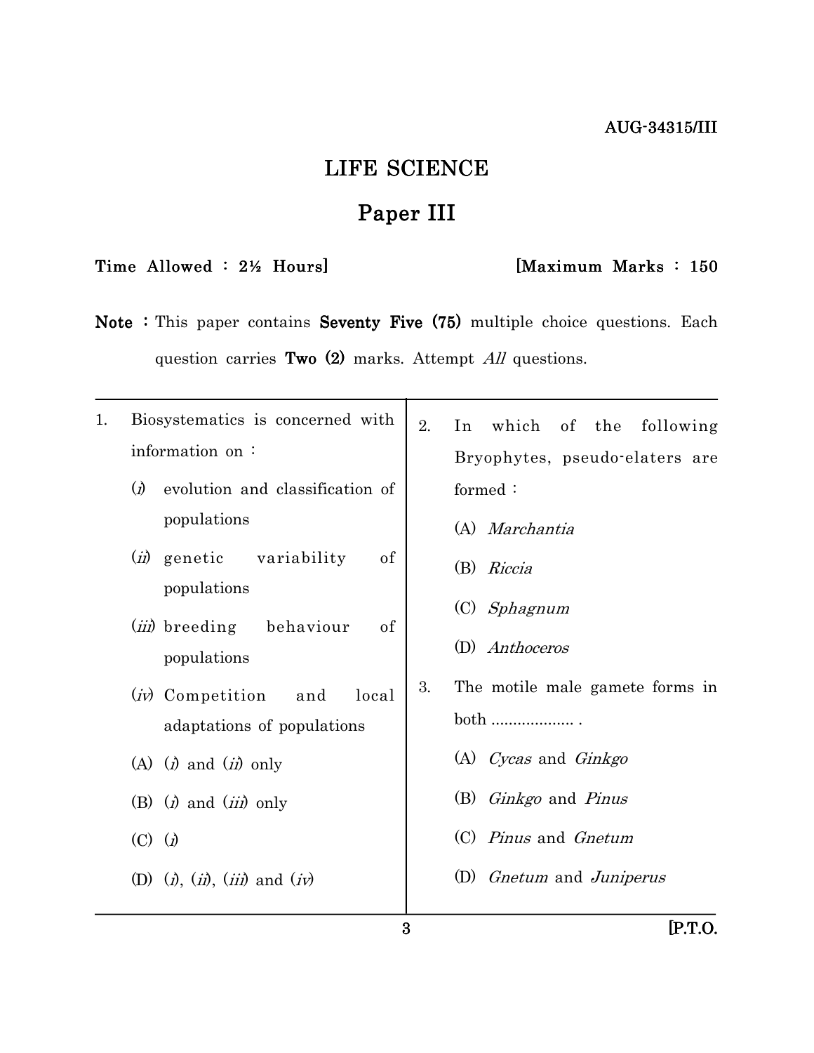# LIFE SCIENCE

# Paper III

# Time Allowed : 2½ Hours] [Maximum Marks : 150

Note : This paper contains Seventy Five  $(75)$  multiple choice questions. Each question carries Two  $(2)$  marks. Attempt All questions.

| 1. | Biosystematics is concerned with                                                                                                     | 2. | which of the following<br>In           |
|----|--------------------------------------------------------------------------------------------------------------------------------------|----|----------------------------------------|
|    | information on:                                                                                                                      |    | Bryophytes, pseudo-elaters are         |
|    | $\Omega$<br>evolution and classification of                                                                                          |    | formed:                                |
|    | populations                                                                                                                          |    | (A) Marchantia                         |
|    | variability<br>of<br>( <i>ii</i> ) genetic<br>populations                                                                            |    | (B) Riccia                             |
|    | ( <i>iii</i> ) breeding<br>of<br>behaviour<br>populations<br>( <i>iv</i> ) Competition<br>and<br>local<br>adaptations of populations |    | $(C)$ <i>Sphagnum</i>                  |
|    |                                                                                                                                      | 3. | (D) Anthoceros                         |
|    |                                                                                                                                      |    | The motile male gamete forms in        |
|    |                                                                                                                                      |    | $both$                                 |
|    | (A) $(i)$ and $(ii)$ only                                                                                                            |    | (A) Cycas and Ginkgo                   |
|    | (B) $(i)$ and $(iii)$ only                                                                                                           |    | (B) <i>Ginkgo</i> and <i>Pinus</i>     |
|    | $(C)$ $(j)$                                                                                                                          |    | (C) <i>Pinus</i> and <i>Gnetum</i>     |
|    | (D) $(i)$ , $(ii)$ , $(iii)$ and $(iv)$                                                                                              |    | (D) <i>Gnetum</i> and <i>Juniperus</i> |
|    |                                                                                                                                      |    |                                        |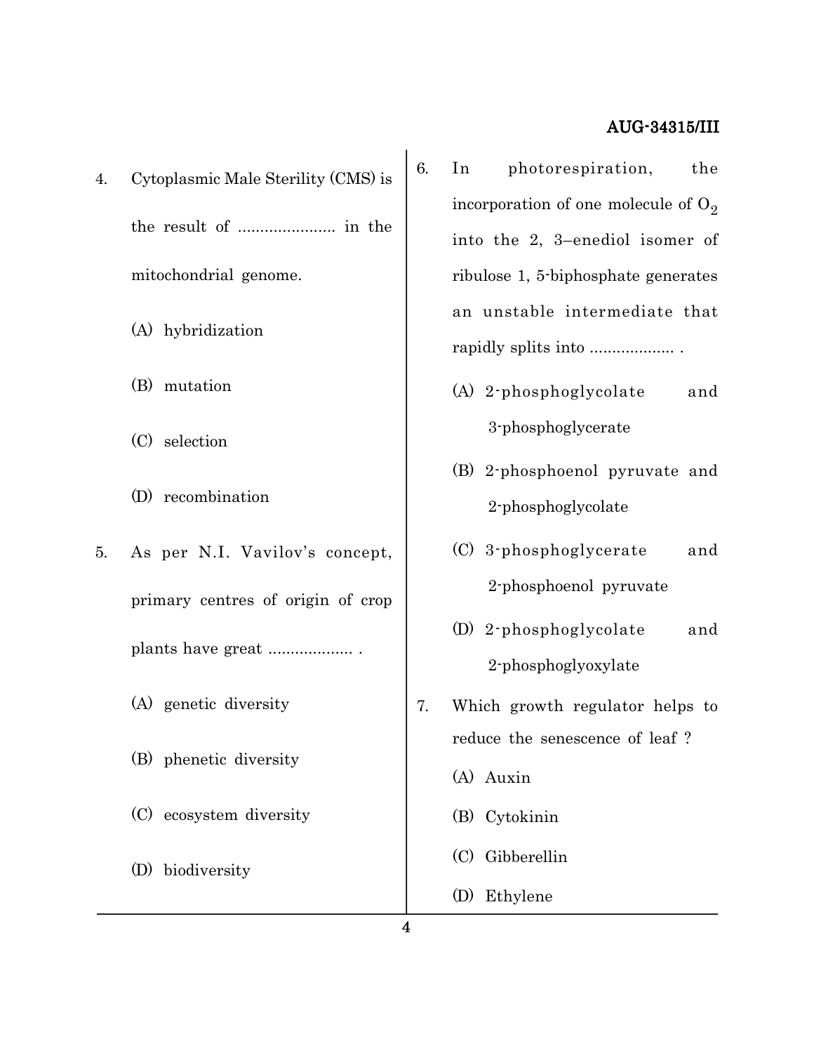- 4. Cytoplasmic Male Sterility (CMS) is the result of ...................... in the mitochondrial genome.
	- (A) hybridization
	- (B) mutation
	- (C) selection
	- (D) recombination
- 5. As per N.I. Vavilov's concept, primary centres of origin of crop plants have great ................... .
	- (A) genetic diversity
	- (B) phenetic diversity
	- (C) ecosystem diversity
	- (D) biodiversity
- 6. In photorespiration, the incorporation of one molecule of  $O_2$ into the 2, 3–enediol isomer of ribulose 1, 5-biphosphate generates an unstable intermediate that rapidly splits into ................... .
	- (A) 2-phosphoglycolate and 3-phosphoglycerate
	- (B) 2-phosphoenol pyruvate and 2-phosphoglycolate
	- (C) 3-phosphoglycerate and 2-phosphoenol pyruvate
	- (D) 2-phosphoglycolate and 2-phosphoglyoxylate
- 7. Which growth regulator helps to reduce the senescence of leaf ?
	- (A) Auxin
	- (B) Cytokinin
	- (C) Gibberellin
	- (D) Ethylene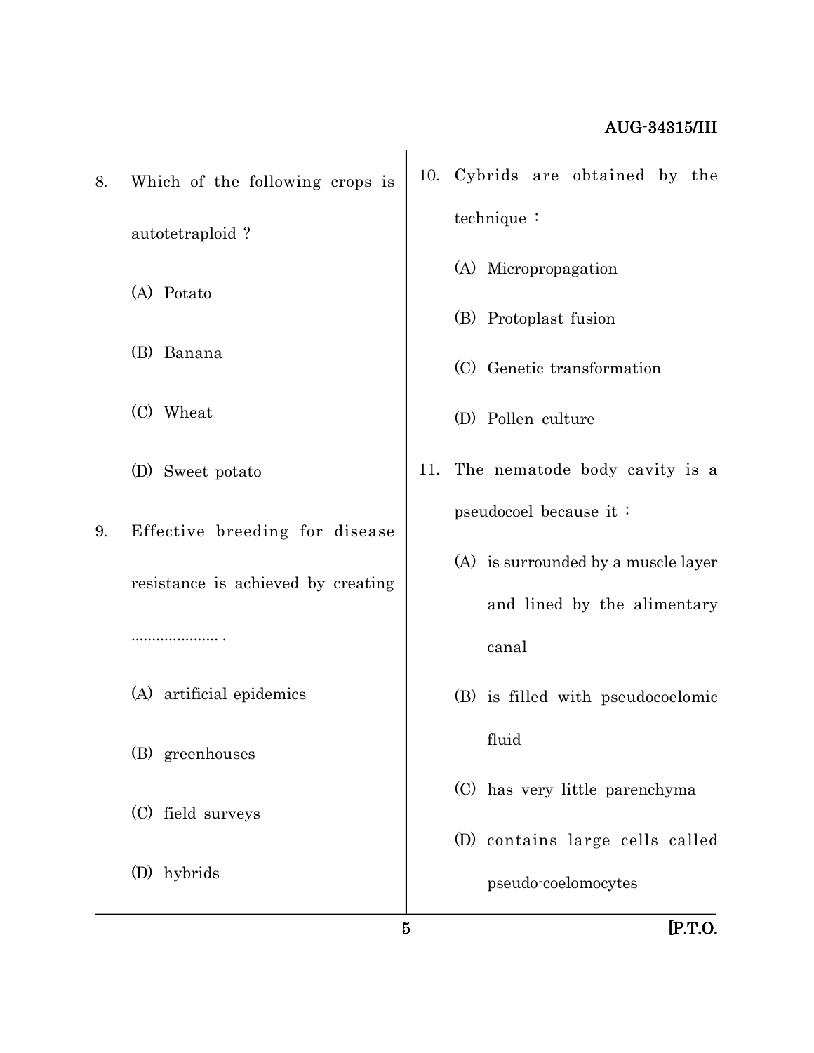8. Which of the following crops is autotetraploid ?

(A) Potato

- (B) Banana
- (C) Wheat
- (D) Sweet potato
- 9. Effective breeding for disease

resistance is achieved by creating

..................... .

(A) artificial epidemics

(B) greenhouses

(C) field surveys

(D) hybrids

- 10. Cybrids are obtained by the technique :
	- (A) Micropropagation
	- (B) Protoplast fusion
	- (C) Genetic transformation
	- (D) Pollen culture
- 11. The nematode body cavity is a pseudocoel because it :
	- (A) is surrounded by a muscle layer and lined by the alimentary canal
	- (B) is filled with pseudocoelomic fluid
	- (C) has very little parenchyma
	- (D) contains large cells called pseudo-coelomocytes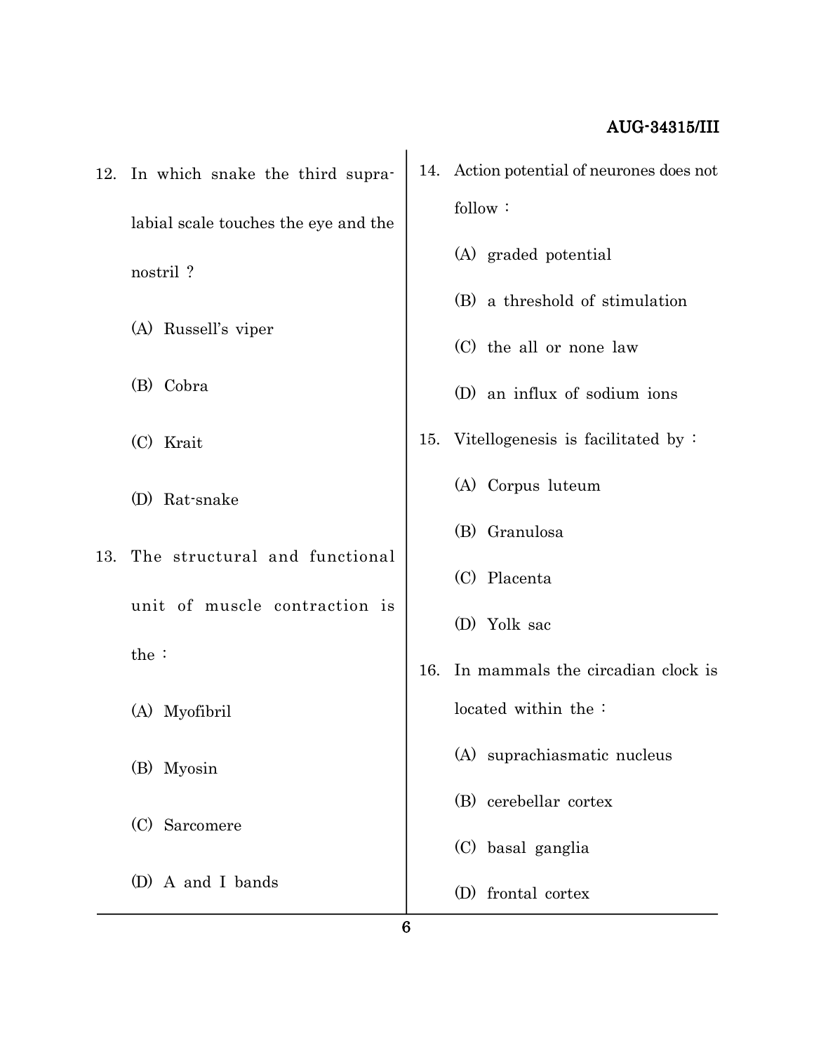- 12. In which snake the third supralabial scale touches the eye and the nostril ?
	- (A) Russell's viper
	- (B) Cobra
	- (C) Krait
	- (D) Rat-snake
- 13. The structural and functional unit of muscle contraction is the :
	- (A) Myofibril
	- (B) Myosin
	- (C) Sarcomere
	- (D) A and I bands
- 14. Action potential of neurones does not follow :
	- (A) graded potential
	- (B) a threshold of stimulation
	- (C) the all or none law
	- (D) an influx of sodium ions
- 15. Vitellogenesis is facilitated by :
	- (A) Corpus luteum
	- (B) Granulosa
	- (C) Placenta
	- (D) Yolk sac
- 16. In mammals the circadian clock is located within the :
	- (A) suprachiasmatic nucleus
	- (B) cerebellar cortex
	- (C) basal ganglia
	- (D) frontal cortex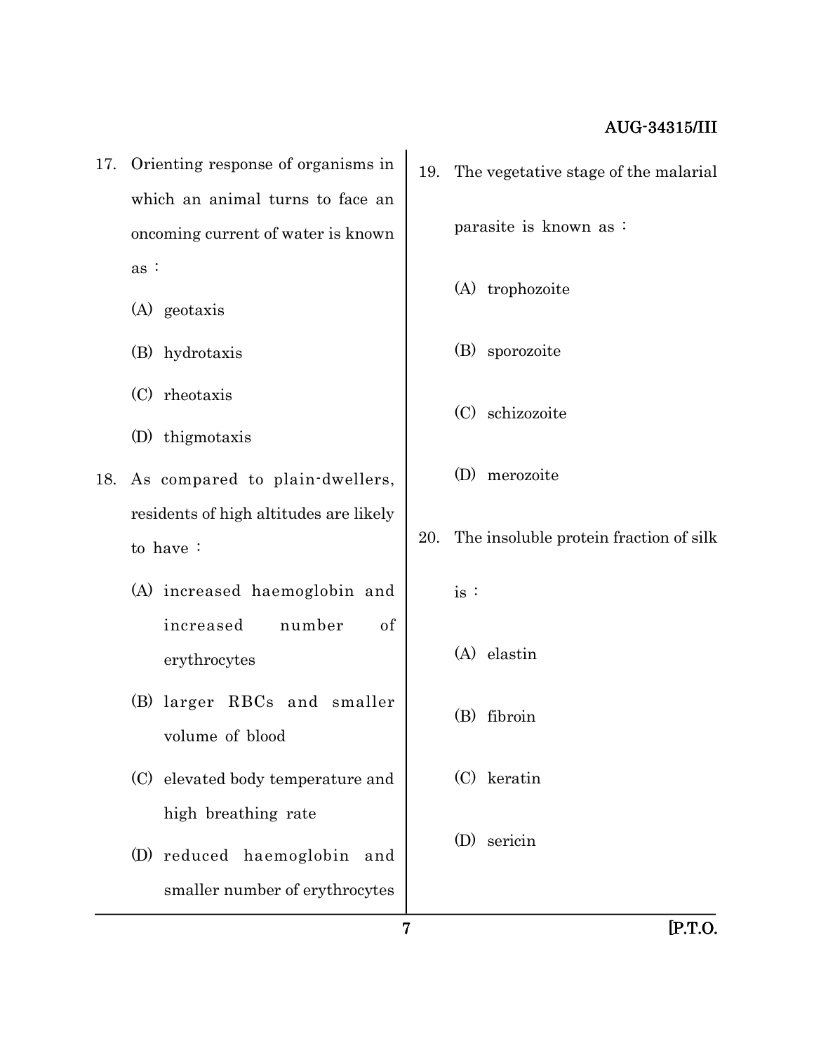- 17. Orienting response of organisms in which an animal turns to face an oncoming current of water is known as :
	- (A) geotaxis
	- (B) hydrotaxis
	- (C) rheotaxis
	- (D) thigmotaxis
- 18. As compared to plain-dwellers, residents of high altitudes are likely to have :
	- (A) increased haemoglobin and increased number of erythrocytes
	- (B) larger RBCs and smaller volume of blood
	- (C) elevated body temperature and high breathing rate
	- (D) reduced haemoglobin and smaller number of erythrocytes
- 19. The vegetative stage of the malarial parasite is known as : (A) trophozoite (B) sporozoite (C) schizozoite (D) merozoite
- 20. The insoluble protein fraction of silk
	- is :
	- (A) elastin
	- (B) fibroin
	- (C) keratin
	- (D) sericin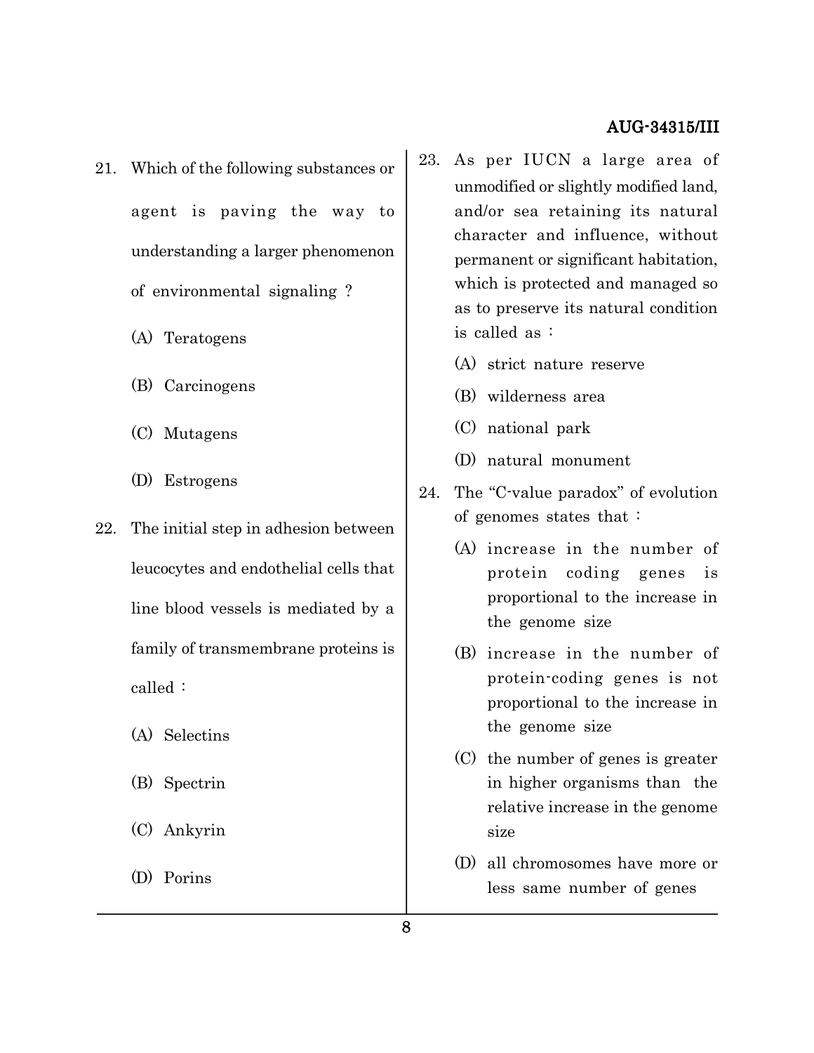- 21. Which of the following substances or agent is paving the way to understanding a larger phenomenon of environmental signaling ?
	- (A) Teratogens
	- (B) Carcinogens
	- (C) Mutagens
	- (D) Estrogens
- 22. The initial step in adhesion between leucocytes and endothelial cells that line blood vessels is mediated by a family of transmembrane proteins is called :
	- (A) Selectins
	- (B) Spectrin
	- (C) Ankyrin
	- (D) Porins
- 23. As per IUCN a large area of unmodified or slightly modified land, and/or sea retaining its natural character and influence, without permanent or significant habitation, which is protected and managed so as to preserve its natural condition is called as :
	- (A) strict nature reserve
	- (B) wilderness area
	- (C) national park
	- (D) natural monument
- 24. The "C-value paradox" of evolution of genomes states that :
	- (A) increase in the number of protein coding genes is proportional to the increase in the genome size
	- (B) increase in the number of protein-coding genes is not proportional to the increase in the genome size
	- (C) the number of genes is greater in higher organisms than the relative increase in the genome size
	- (D) all chromosomes have more or less same number of genes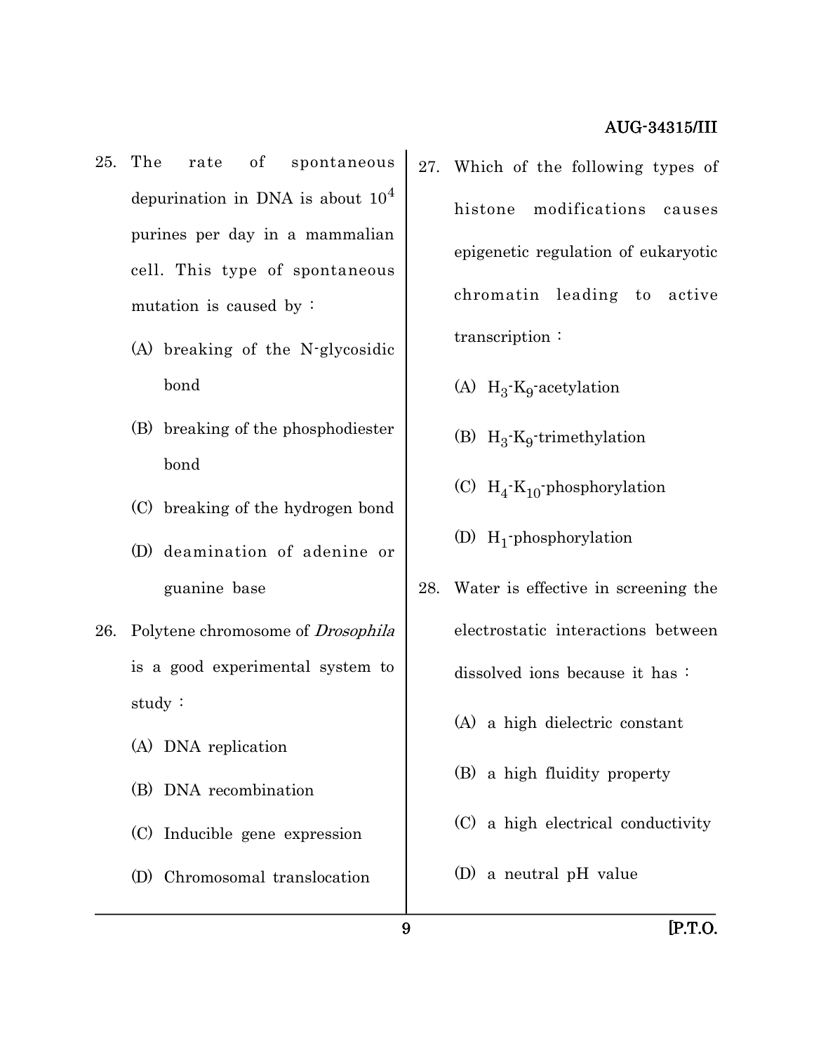- 25. The rate of spontaneous depurination in DNA is about  $10<sup>4</sup>$ purines per day in a mammalian cell. This type of spontaneous mutation is caused by :
	- (A) breaking of the N-glycosidic bond
	- (B) breaking of the phosphodiester bond
	- (C) breaking of the hydrogen bond
	- (D) deamination of adenine or guanine base
- 26. Polytene chromosome of Drosophila is a good experimental system to study :
	- (A) DNA replication
	- (B) DNA recombination
	- (C) Inducible gene expression
	- (D) Chromosomal translocation
- 27. Which of the following types of histone modifications causes epigenetic regulation of eukaryotic chromatin leading to active transcription :
	- (A)  $H_3$ - $K_9$ -acetylation
	- (B)  $H_3$ - $K_9$ -trimethylation
	- (C)  $H_4$ <sup>-</sup> $K_{10}$ -phosphorylation
	- (D)  $H_1$ -phosphorylation
- 28. Water is effective in screening the electrostatic interactions between dissolved ions because it has :
	- (A) a high dielectric constant
	- (B) a high fluidity property
	- (C) a high electrical conductivity
	- (D) a neutral pH value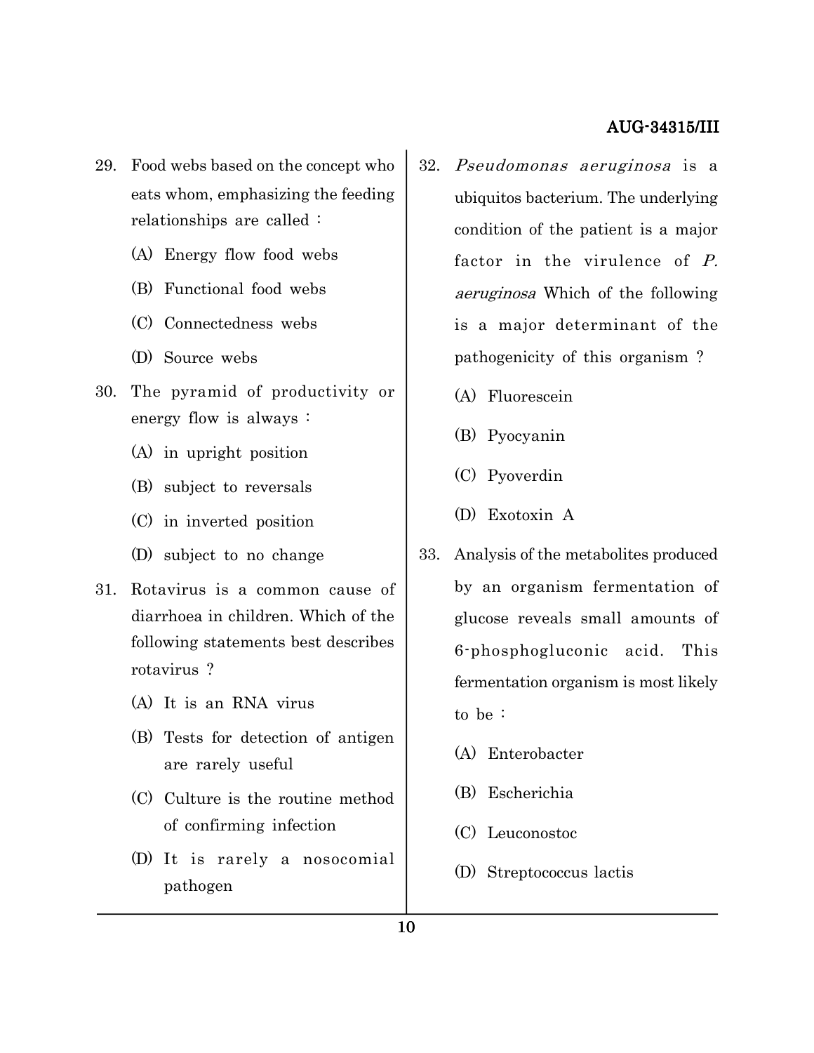- 29. Food webs based on the concept who eats whom, emphasizing the feeding relationships are called :
	- (A) Energy flow food webs
	- (B) Functional food webs
	- (C) Connectedness webs
	- (D) Source webs
- 30. The pyramid of productivity or energy flow is always :
	- (A) in upright position
	- (B) subject to reversals
	- (C) in inverted position
	- (D) subject to no change
- 31. Rotavirus is a common cause of diarrhoea in children. Which of the following statements best describes rotavirus ?
	- (A) It is an RNA virus
	- (B) Tests for detection of antigen are rarely useful
	- (C) Culture is the routine method of confirming infection
	- (D) It is rarely a nosocomial pathogen
- 32. Pseudomonas aeruginosa is a ubiquitos bacterium. The underlying condition of the patient is a major factor in the virulence of P. aeruginosa Which of the following is a major determinant of the pathogenicity of this organism ?
	- (A) Fluorescein
	- (B) Pyocyanin
	- (C) Pyoverdin
	- (D) Exotoxin A
- 33. Analysis of the metabolites produced by an organism fermentation of glucose reveals small amounts of 6-phosphogluconic acid. This fermentation organism is most likely to be :
	- (A) Enterobacter
	- (B) Escherichia
	- (C) Leuconostoc
	- (D) Streptococcus lactis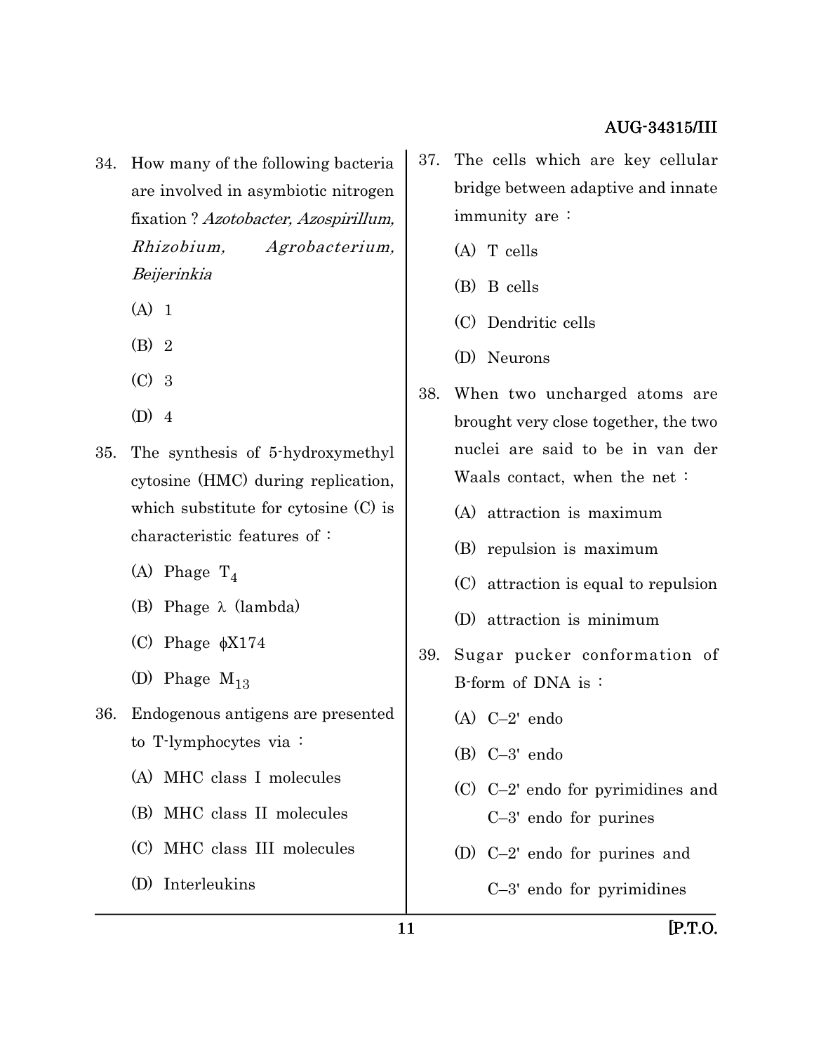- 34. How many of the following bacteria are involved in asymbiotic nitrogen fixation ? Azotobacter, Azospirillum, Rhizobium, Agrobacterium, Beijerinkia
	- $(A)$  1
	- (B) 2
	- (C) 3
	- (D) 4
- 35. The synthesis of 5-hydroxymethyl cytosine (HMC) during replication, which substitute for cytosine (C) is characteristic features of :
	- (A) Phage  $T_4$
	- (B) Phage  $\lambda$  (lambda)
	- (C) Phage  $\phi$ X174
	- (D) Phage  $M_{13}$
- 36. Endogenous antigens are presented to T-lymphocytes via :
	- (A) MHC class I molecules
	- (B) MHC class II molecules
	- (C) MHC class III molecules
	- (D) Interleukins
- 37. The cells which are key cellular bridge between adaptive and innate immunity are :
	- (A) T cells
	- (B) B cells
	- (C) Dendritic cells
	- (D) Neurons
- 38. When two uncharged atoms are brought very close together, the two nuclei are said to be in van der Waals contact, when the net :
	- (A) attraction is maximum
	- (B) repulsion is maximum
	- (C) attraction is equal to repulsion
	- (D) attraction is minimum
- 39. Sugar pucker conformation of B-form of DNA is :
	- (A) C–2' endo
	- (B) C–3' endo
	- (C) C–2' endo for pyrimidines and C–3' endo for purines
	- (D) C–2' endo for purines and
		- C–3' endo for pyrimidines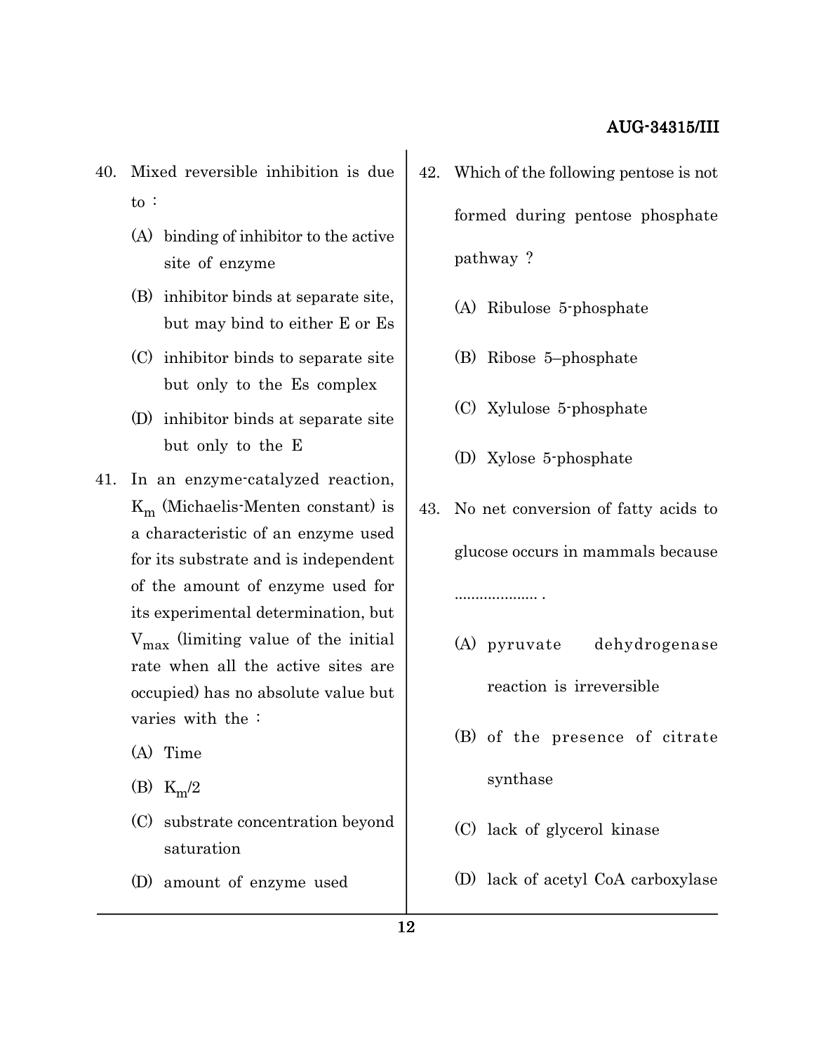- 40. Mixed reversible inhibition is due to :
	- (A) binding of inhibitor to the active site of enzyme
	- (B) inhibitor binds at separate site, but may bind to either E or Es
	- (C) inhibitor binds to separate site but only to the Es complex
	- (D) inhibitor binds at separate site but only to the E
- 41. In an enzyme-catalyzed reaction,  $K_m$  (Michaelis-Menten constant) is a characteristic of an enzyme used for its substrate and is independent of the amount of enzyme used for its experimental determination, but  $V_{\text{max}}$  (limiting value of the initial rate when all the active sites are occupied) has no absolute value but varies with the :
	- (A) Time
	- (B)  $K_m/2$
	- (C) substrate concentration beyond saturation
	- (D) amount of enzyme used
- 42. Which of the following pentose is not formed during pentose phosphate pathway ?
	- (A) Ribulose 5-phosphate
	- (B) Ribose 5–phosphate
	- (C) Xylulose 5-phosphate
	- (D) Xylose 5-phosphate
- 43. No net conversion of fatty acids to glucose occurs in mammals because .................... .
	- (A) pyruvate dehydrogenase reaction is irreversible
	- (B) of the presence of citrate synthase
	- (C) lack of glycerol kinase
	- (D) lack of acetyl CoA carboxylase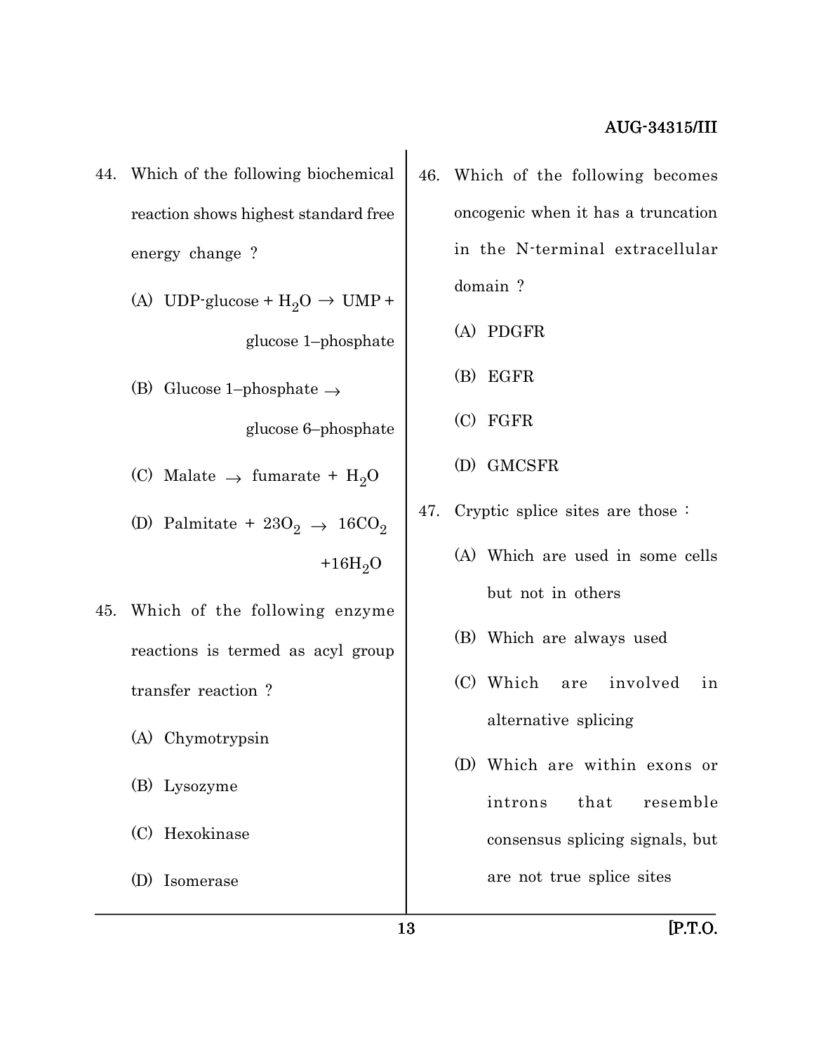- 44. Which of the following biochemical reaction shows highest standard free energy change ?
	- (A) UDP-glucose +  $H_2O \rightarrow UMP +$ glucose 1–phosphate
	- (B) Glucose 1–phosphate  $\rightarrow$

glucose 6–phosphate

- (C) Malate  $\rightarrow$  fumarate + H<sub>2</sub>O
- (D) Palmitate +  $23O_2 \rightarrow 16CO_2$  $+16H_2O$
- 45. Which of the following enzyme reactions is termed as acyl group transfer reaction ?
	- (A) Chymotrypsin
	- (B) Lysozyme
	- (C) Hexokinase
	- (D) Isomerase
- 46. Which of the following becomes oncogenic when it has a truncation in the N-terminal extracellular domain ?
	- (A) PDGFR
	- (B) EGFR
	- (C) FGFR
	- (D) GMCSFR
- 47. Cryptic splice sites are those :
	- (A) Which are used in some cells but not in others
	- (B) Which are always used
	- (C) Which are involved in alternative splicing
	- (D) Which are within exons or introns that resemble consensus splicing signals, but are not true splice sites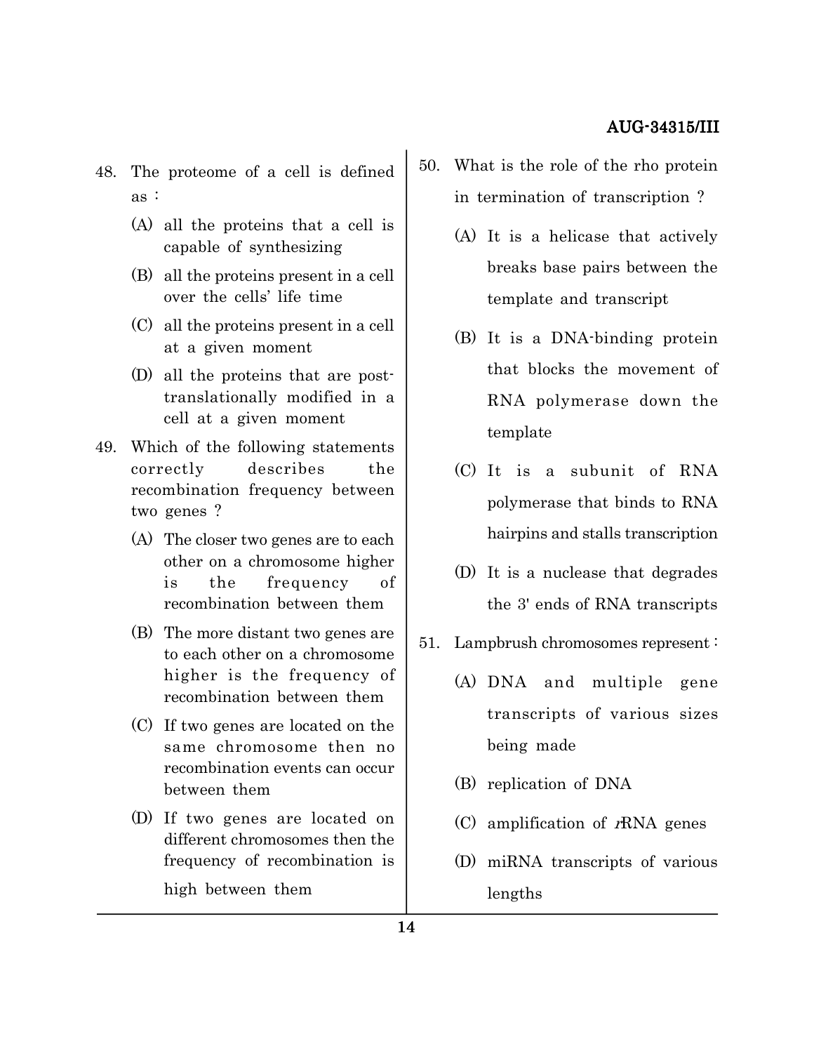- 48. The proteome of a cell is defined as :
	- (A) all the proteins that a cell is capable of synthesizing
	- (B) all the proteins present in a cell over the cells' life time
	- (C) all the proteins present in a cell at a given moment
	- (D) all the proteins that are posttranslationally modified in a cell at a given moment
- 49. Which of the following statements correctly describes the recombination frequency between two genes ?
	- (A) The closer two genes are to each other on a chromosome higher is the frequency of recombination between them
	- (B) The more distant two genes are to each other on a chromosome higher is the frequency of recombination between them
	- (C) If two genes are located on the same chromosome then no recombination events can occur between them
	- (D) If two genes are located on different chromosomes then the frequency of recombination is high between them
- 50. What is the role of the rho protein in termination of transcription ?
	- (A) It is a helicase that actively breaks base pairs between the template and transcript
	- (B) It is a DNA-binding protein that blocks the movement of RNA polymerase down the template
	- (C) It is a subunit of RNA polymerase that binds to RNA hairpins and stalls transcription
	- (D) It is a nuclease that degrades the 3' ends of RNA transcripts
- 51. Lampbrush chromosomes represent :
	- (A) DNA and multiple gene transcripts of various sizes being made
	- (B) replication of DNA
	- (C) amplification of  $r\text{RNA}$  genes
	- (D) miRNA transcripts of various lengths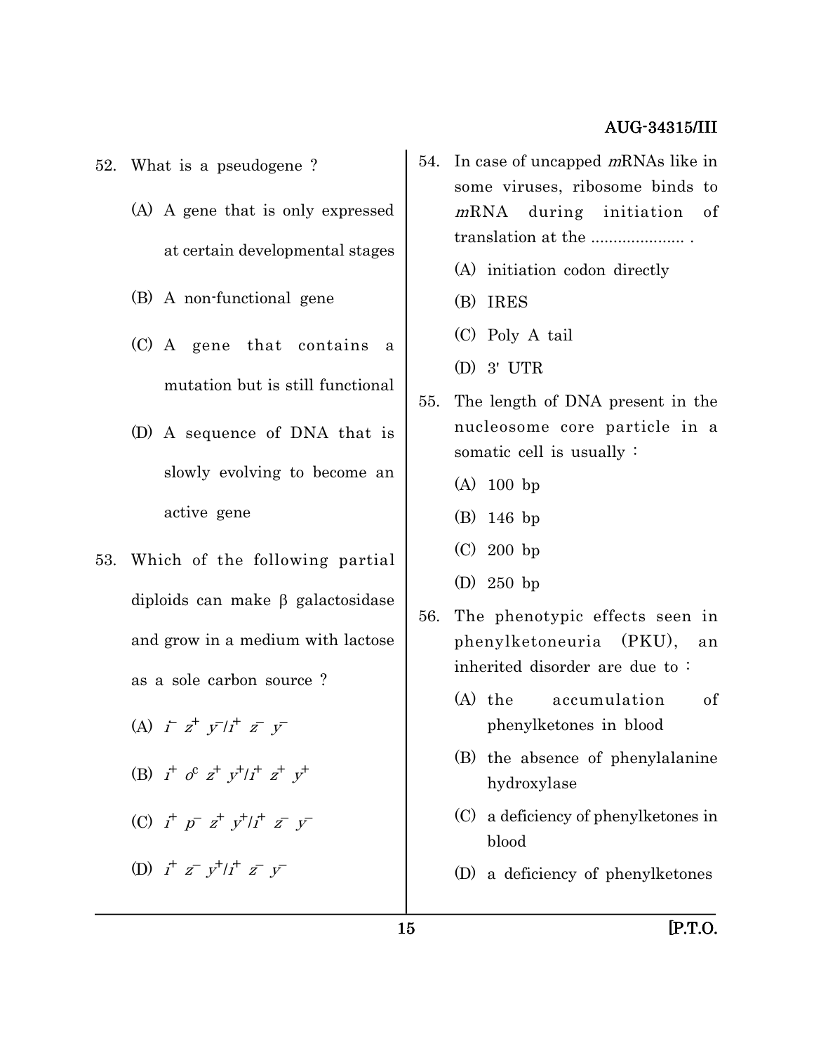- 52. What is a pseudogene ?
	- (A) A gene that is only expressed at certain developmental stages
	- (B) A non-functional gene
	- (C) A gene that contains a mutation but is still functional
	- (D) A sequence of DNA that is slowly evolving to become an active gene
- 53. Which of the following partial diploids can make  $\beta$  galactosidase and grow in a medium with lactose as a sole carbon source ?
	- (A)  $\vec{r}$   $z^+$   $\vec{y}$   $\vec{l}$   $\vec{r}$   $\vec{z}$   $\vec{y}$
	- (B)  $i^+$  o<sup>c</sup>  $z^+$   $y^+/i^+$   $z^+$   $y^+$
	- (C)  $i^+ p^- z^+ y^+ / i^+ z^- y^-$

(D)  $i^+ z^- y^+ / i^+ z^- y^-$ 

- 54. In case of uncapped mRNAs like in some viruses, ribosome binds to <sup>m</sup>RNA during initiation of translation at the ..................... . (A) initiation codon directly
	- (B) IRES
	- (C) Poly A tail
	- (D) 3' UTR
- 55. The length of DNA present in the nucleosome core particle in a somatic cell is usually :
	- (A) 100 bp
	- (B) 146 bp
	- (C) 200 bp
	- (D) 250 bp
- 56. The phenotypic effects seen in phenylketoneuria (PKU), an inherited disorder are due to :
	- (A) the accumulation of phenylketones in blood
	- (B) the absence of phenylalanine hydroxylase
	- (C) a deficiency of phenylketones in blood
	- (D) a deficiency of phenylketones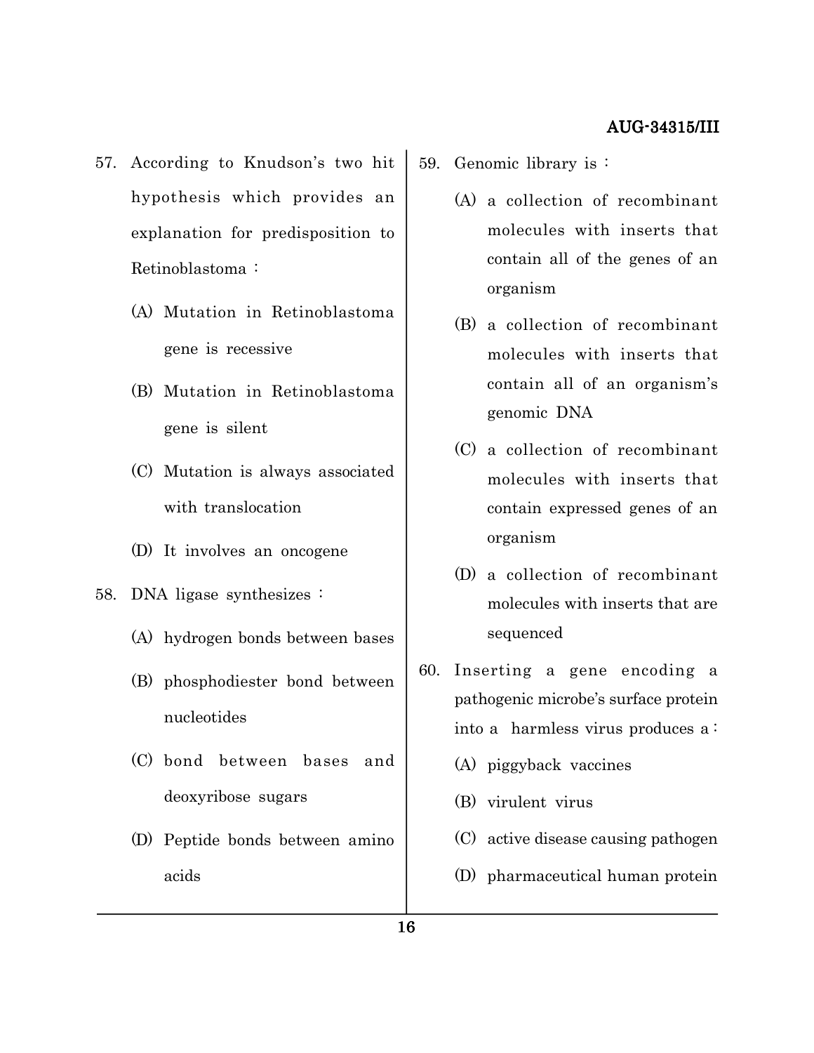- 57. According to Knudson's two hit hypothesis which provides an explanation for predisposition to Retinoblastoma :
	- (A) Mutation in Retinoblastoma gene is recessive
	- (B) Mutation in Retinoblastoma gene is silent
	- (C) Mutation is always associated with translocation
	- (D) It involves an oncogene
- 58. DNA ligase synthesizes :
	- (A) hydrogen bonds between bases
	- (B) phosphodiester bond between nucleotides
	- (C) bond between bases and deoxyribose sugars
	- (D) Peptide bonds between amino acids
- 59. Genomic library is :
	- (A) a collection of recombinant molecules with inserts that contain all of the genes of an organism
	- (B) a collection of recombinant molecules with inserts that contain all of an organism's genomic DNA
	- (C) a collection of recombinant molecules with inserts that contain expressed genes of an organism
	- (D) a collection of recombinant molecules with inserts that are sequenced
- 60. Inserting a gene encoding a pathogenic microbe's surface protein into a harmless virus produces a :
	- (A) piggyback vaccines
	- (B) virulent virus
	- (C) active disease causing pathogen
	- (D) pharmaceutical human protein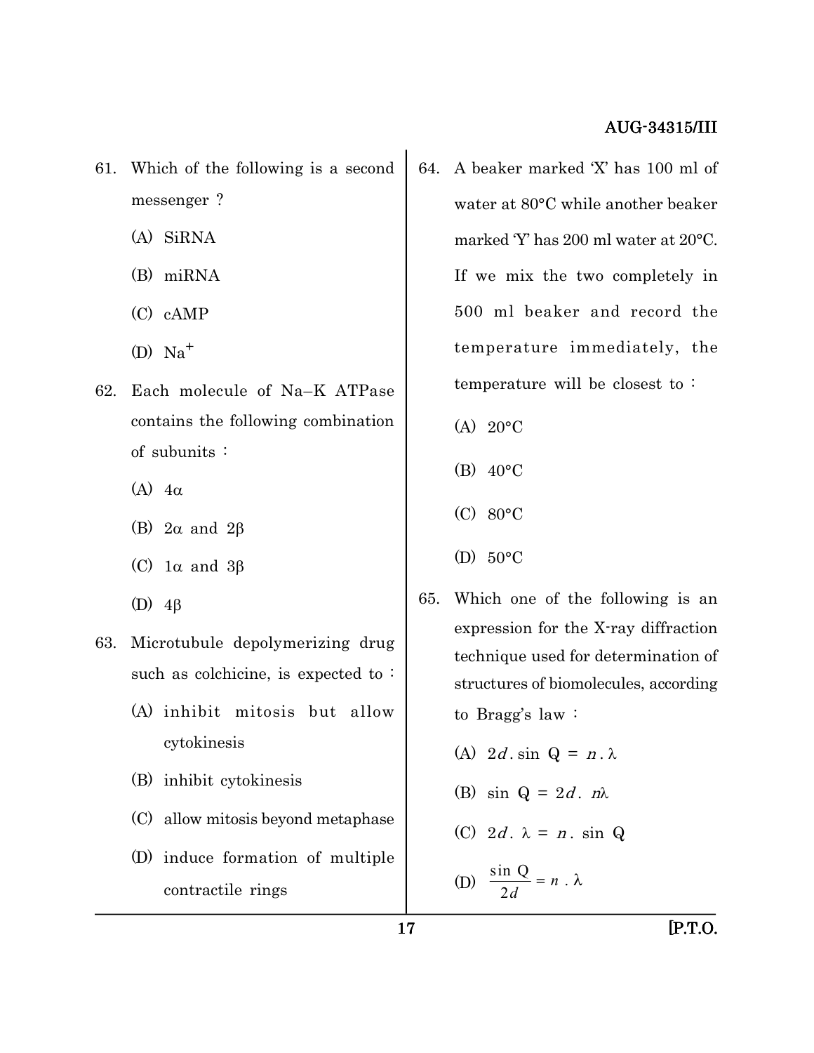- 61. Which of the following is a second messenger ?
	- (A) SiRNA
	- (B) miRNA
	- (C) cAMP
	- $(D)$  Na<sup>+</sup>
- 62. Each molecule of Na–K ATPase contains the following combination of subunits :
	- (A)  $4\alpha$
	- (B)  $2\alpha$  and  $2\beta$
	- (C)  $1\alpha$  and  $3\beta$
	- (D)  $4\beta$
- 63. Microtubule depolymerizing drug such as colchicine, is expected to:
	- (A) inhibit mitosis but allow cytokinesis
	- (B) inhibit cytokinesis
	- (C) allow mitosis beyond metaphase
	- (D) induce formation of multiple contractile rings
- 64. A beaker marked 'X' has 100 ml of water at 80°C while another beaker marked 'Y' has 200 ml water at 20°C. If we mix the two completely in 500 ml beaker and record the temperature immediately, the temperature will be closest to :
	- (A) 20°C
	- (B) 40°C
	- (C) 80°C
	- (D) 50°C
- 65. Which one of the following is an expression for the X-ray diffraction technique used for determination of structures of biomolecules, according to Bragg's law :
	- (A)  $2d \cdot \sin Q = n \cdot \lambda$
	- (B) sin  $Q = 2d$ .  $n\lambda$
	- (C)  $2d \cdot \lambda = n \cdot \sin Q$

(D) 
$$
\frac{\sin Q}{2d} = n \cdot \lambda
$$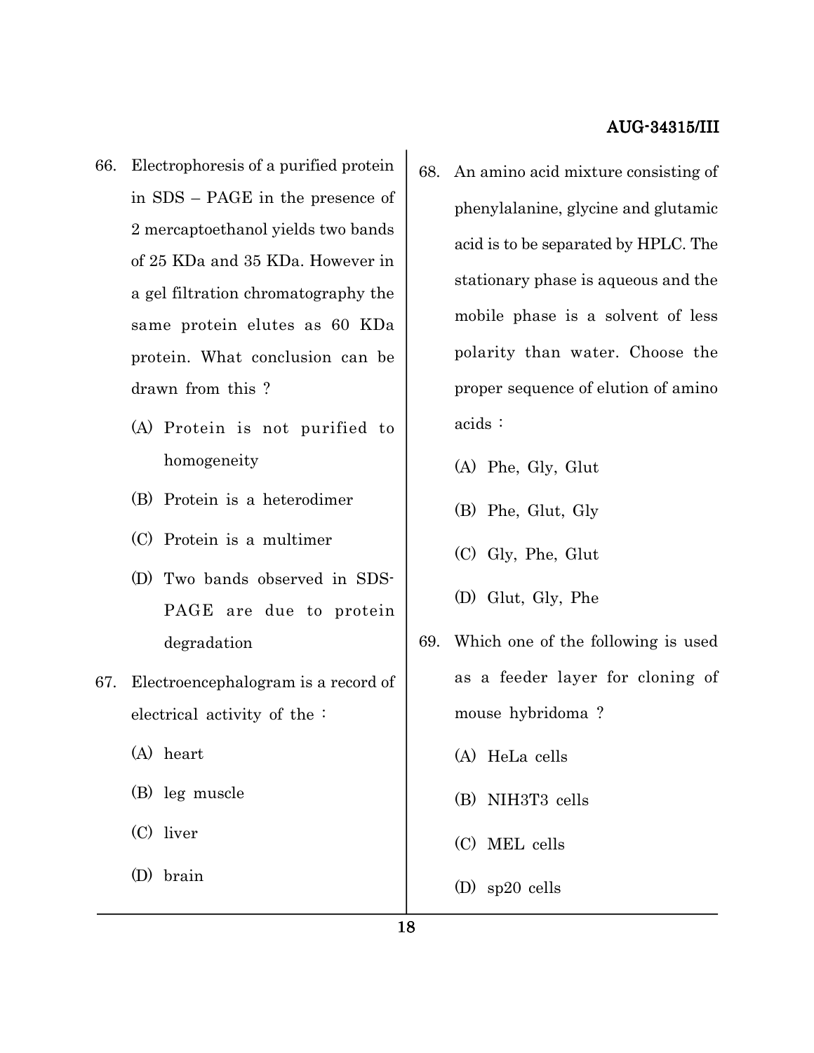- 66. Electrophoresis of a purified protein in SDS – PAGE in the presence of 2 mercaptoethanol yields two bands of 25 KDa and 35 KDa. However in a gel filtration chromatography the same protein elutes as 60 KDa protein. What conclusion can be drawn from this ?
	- (A) Protein is not purified to homogeneity
	- (B) Protein is a heterodimer
	- (C) Protein is a multimer
	- (D) Two bands observed in SDS-PAGE are due to protein degradation
- 67. Electroencephalogram is a record of electrical activity of the :
	- (A) heart
	- (B) leg muscle
	- (C) liver
	- (D) brain
- 68. An amino acid mixture consisting of phenylalanine, glycine and glutamic acid is to be separated by HPLC. The stationary phase is aqueous and the mobile phase is a solvent of less polarity than water. Choose the proper sequence of elution of amino acids :
	- (A) Phe, Gly, Glut
	- (B) Phe, Glut, Gly
	- (C) Gly, Phe, Glut
	- (D) Glut, Gly, Phe
- 69. Which one of the following is used as a feeder layer for cloning of mouse hybridoma ?
	- (A) HeLa cells
	- (B) NIH3T3 cells
	- (C) MEL cells
	- (D) sp20 cells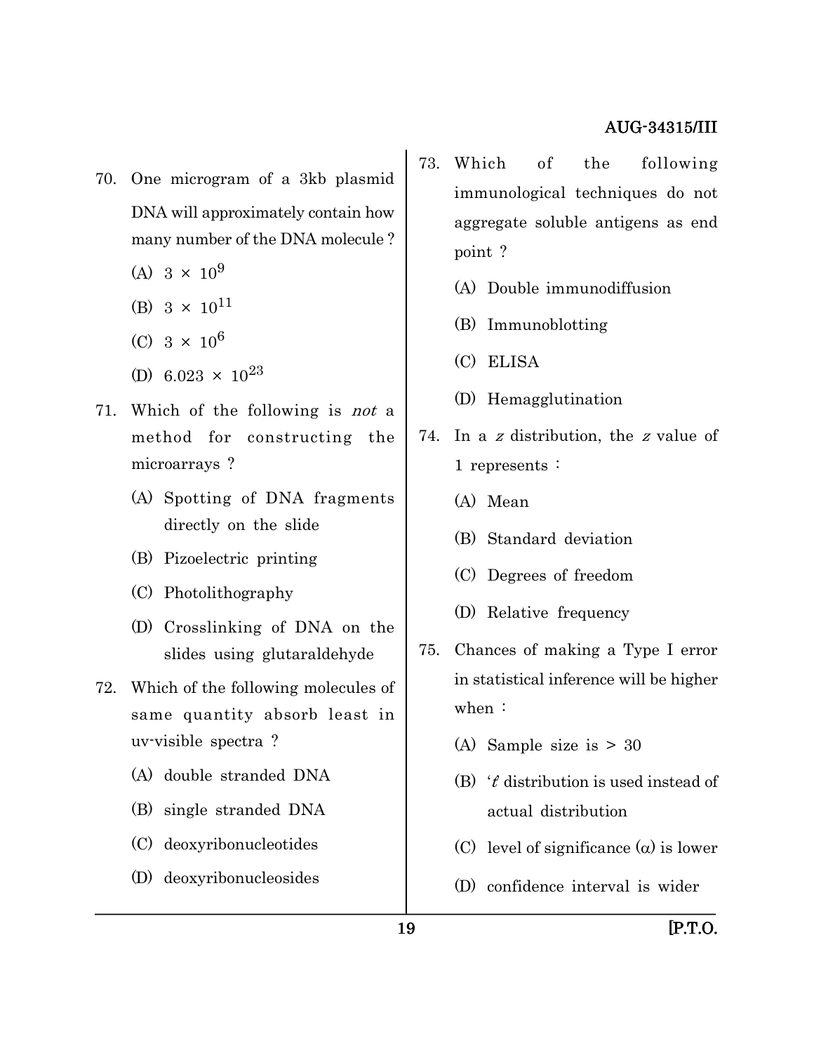- 70. One microgram of a 3kb plasmid DNA will approximately contain how many number of the DNA molecule ?
	- (A)  $3 \times 10^9$
	- (B)  $3 \times 10^{11}$
	- (C)  $3 \times 10^6$
	- (D) 6.023  $\times$  10<sup>23</sup>
- 71. Which of the following is not a method for constructing the microarrays ?
	- (A) Spotting of DNA fragments directly on the slide
	- (B) Pizoelectric printing
	- (C) Photolithography
	- (D) Crosslinking of DNA on the slides using glutaraldehyde
- 72. Which of the following molecules of same quantity absorb least in uv-visible spectra ?
	- (A) double stranded DNA
	- (B) single stranded DNA
	- (C) deoxyribonucleotides
	- (D) deoxyribonucleosides
- 73. Which of the following immunological techniques do not aggregate soluble antigens as end point ?
	- (A) Double immunodiffusion
	- (B) Immunoblotting
	- (C) ELISA
	- (D) Hemagglutination
- 74. In a z distribution, the z value of 1 represents :
	- (A) Mean
	- (B) Standard deviation
	- (C) Degrees of freedom
	- (D) Relative frequency
- 75. Chances of making a Type I error in statistical inference will be higher when :
	- (A) Sample size is > 30
	- (B)  $t$  distribution is used instead of actual distribution
	- (C) level of significance  $(\alpha)$  is lower
	- (D) confidence interval is wider